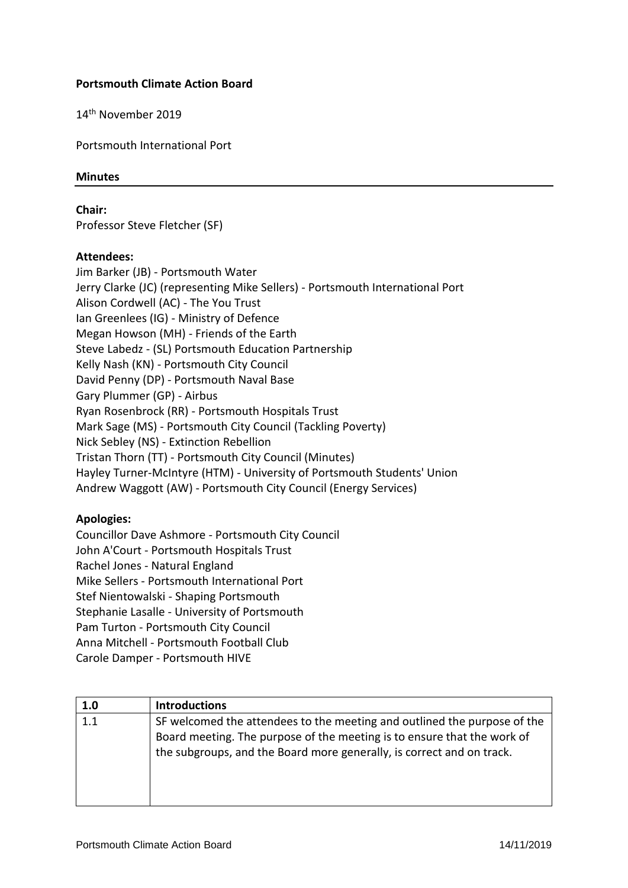## **Portsmouth Climate Action Board**

14th November 2019

Portsmouth International Port

## **Minutes**

**Chair:**

Professor Steve Fletcher (SF)

## **Attendees:**

Jim Barker (JB) - Portsmouth Water Jerry Clarke (JC) (representing Mike Sellers) - Portsmouth International Port Alison Cordwell (AC) - The You Trust Ian Greenlees (IG) - Ministry of Defence Megan Howson (MH) - Friends of the Earth Steve Labedz - (SL) Portsmouth Education Partnership Kelly Nash (KN) - Portsmouth City Council David Penny (DP) - Portsmouth Naval Base Gary Plummer (GP) - Airbus Ryan Rosenbrock (RR) - Portsmouth Hospitals Trust Mark Sage (MS) - Portsmouth City Council (Tackling Poverty) Nick Sebley (NS) - Extinction Rebellion Tristan Thorn (TT) - Portsmouth City Council (Minutes) Hayley Turner-McIntyre (HTM) - University of Portsmouth Students' Union Andrew Waggott (AW) - Portsmouth City Council (Energy Services)

## **Apologies:**

Councillor Dave Ashmore - Portsmouth City Council John A'Court - Portsmouth Hospitals Trust Rachel Jones - Natural England Mike Sellers - Portsmouth International Port Stef Nientowalski - Shaping Portsmouth Stephanie Lasalle - University of Portsmouth Pam Turton - Portsmouth City Council Anna Mitchell - Portsmouth Football Club Carole Damper - Portsmouth HIVE

| 1.0 | <b>Introductions</b>                                                                                                                                                                                                         |
|-----|------------------------------------------------------------------------------------------------------------------------------------------------------------------------------------------------------------------------------|
| 1.1 | SF welcomed the attendees to the meeting and outlined the purpose of the<br>Board meeting. The purpose of the meeting is to ensure that the work of<br>the subgroups, and the Board more generally, is correct and on track. |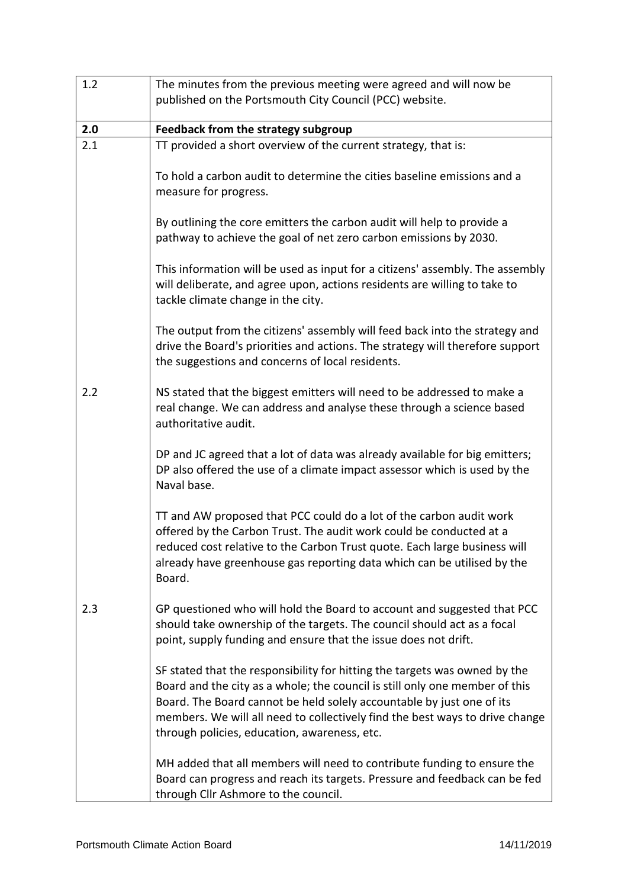| 1.2 | The minutes from the previous meeting were agreed and will now be                                                                                                                                                                                                                                                                                                  |
|-----|--------------------------------------------------------------------------------------------------------------------------------------------------------------------------------------------------------------------------------------------------------------------------------------------------------------------------------------------------------------------|
|     | published on the Portsmouth City Council (PCC) website.                                                                                                                                                                                                                                                                                                            |
| 2.0 | Feedback from the strategy subgroup                                                                                                                                                                                                                                                                                                                                |
| 2.1 | TT provided a short overview of the current strategy, that is:                                                                                                                                                                                                                                                                                                     |
|     | To hold a carbon audit to determine the cities baseline emissions and a<br>measure for progress.                                                                                                                                                                                                                                                                   |
|     | By outlining the core emitters the carbon audit will help to provide a<br>pathway to achieve the goal of net zero carbon emissions by 2030.                                                                                                                                                                                                                        |
|     | This information will be used as input for a citizens' assembly. The assembly<br>will deliberate, and agree upon, actions residents are willing to take to<br>tackle climate change in the city.                                                                                                                                                                   |
|     | The output from the citizens' assembly will feed back into the strategy and<br>drive the Board's priorities and actions. The strategy will therefore support<br>the suggestions and concerns of local residents.                                                                                                                                                   |
| 2.2 | NS stated that the biggest emitters will need to be addressed to make a<br>real change. We can address and analyse these through a science based<br>authoritative audit.                                                                                                                                                                                           |
|     | DP and JC agreed that a lot of data was already available for big emitters;<br>DP also offered the use of a climate impact assessor which is used by the<br>Naval base.                                                                                                                                                                                            |
|     | TT and AW proposed that PCC could do a lot of the carbon audit work<br>offered by the Carbon Trust. The audit work could be conducted at a<br>reduced cost relative to the Carbon Trust quote. Each large business will<br>already have greenhouse gas reporting data which can be utilised by the<br>Board.                                                       |
| 2.3 | GP questioned who will hold the Board to account and suggested that PCC<br>should take ownership of the targets. The council should act as a focal<br>point, supply funding and ensure that the issue does not drift.                                                                                                                                              |
|     | SF stated that the responsibility for hitting the targets was owned by the<br>Board and the city as a whole; the council is still only one member of this<br>Board. The Board cannot be held solely accountable by just one of its<br>members. We will all need to collectively find the best ways to drive change<br>through policies, education, awareness, etc. |
|     | MH added that all members will need to contribute funding to ensure the<br>Board can progress and reach its targets. Pressure and feedback can be fed<br>through Cllr Ashmore to the council.                                                                                                                                                                      |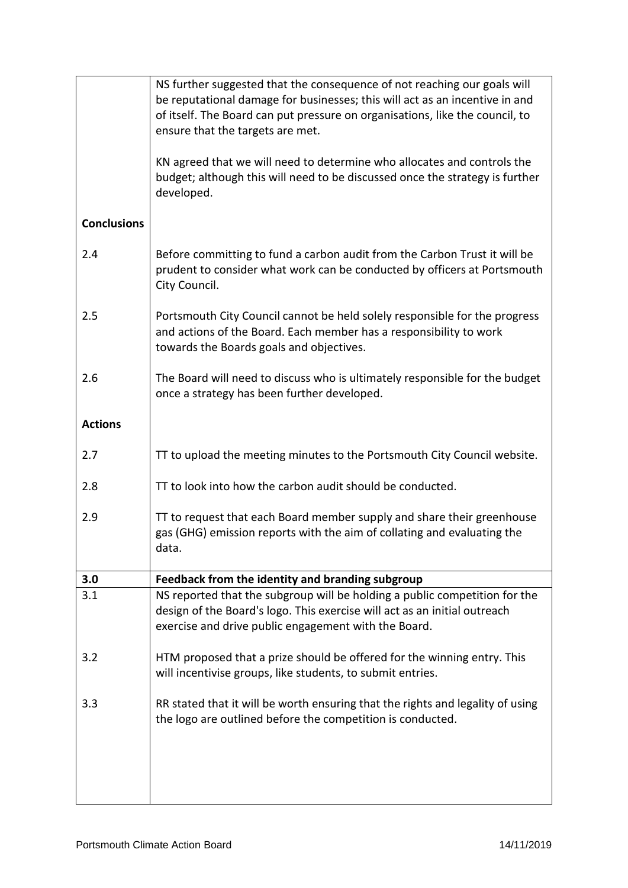|                    | NS further suggested that the consequence of not reaching our goals will<br>be reputational damage for businesses; this will act as an incentive in and<br>of itself. The Board can put pressure on organisations, like the council, to<br>ensure that the targets are met.<br>KN agreed that we will need to determine who allocates and controls the |
|--------------------|--------------------------------------------------------------------------------------------------------------------------------------------------------------------------------------------------------------------------------------------------------------------------------------------------------------------------------------------------------|
|                    | budget; although this will need to be discussed once the strategy is further<br>developed.                                                                                                                                                                                                                                                             |
| <b>Conclusions</b> |                                                                                                                                                                                                                                                                                                                                                        |
| 2.4                | Before committing to fund a carbon audit from the Carbon Trust it will be<br>prudent to consider what work can be conducted by officers at Portsmouth<br>City Council.                                                                                                                                                                                 |
| 2.5                | Portsmouth City Council cannot be held solely responsible for the progress<br>and actions of the Board. Each member has a responsibility to work<br>towards the Boards goals and objectives.                                                                                                                                                           |
| 2.6                | The Board will need to discuss who is ultimately responsible for the budget<br>once a strategy has been further developed.                                                                                                                                                                                                                             |
| <b>Actions</b>     |                                                                                                                                                                                                                                                                                                                                                        |
| 2.7                | TT to upload the meeting minutes to the Portsmouth City Council website.                                                                                                                                                                                                                                                                               |
| 2.8                | TT to look into how the carbon audit should be conducted.                                                                                                                                                                                                                                                                                              |
| 2.9                | TT to request that each Board member supply and share their greenhouse<br>gas (GHG) emission reports with the aim of collating and evaluating the<br>data.                                                                                                                                                                                             |
| 3.0                | Feedback from the identity and branding subgroup                                                                                                                                                                                                                                                                                                       |
| 3.1                | NS reported that the subgroup will be holding a public competition for the<br>design of the Board's logo. This exercise will act as an initial outreach<br>exercise and drive public engagement with the Board.                                                                                                                                        |
| 3.2                | HTM proposed that a prize should be offered for the winning entry. This<br>will incentivise groups, like students, to submit entries.                                                                                                                                                                                                                  |
| 3.3                | RR stated that it will be worth ensuring that the rights and legality of using<br>the logo are outlined before the competition is conducted.                                                                                                                                                                                                           |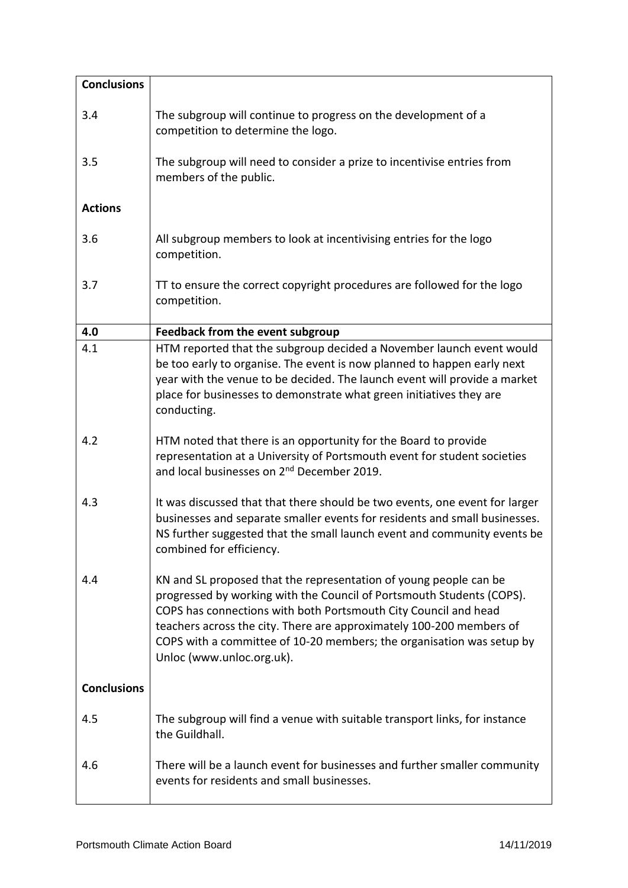| <b>Conclusions</b> |                                                                                                                                                                                                                                                                                                                                                                                             |
|--------------------|---------------------------------------------------------------------------------------------------------------------------------------------------------------------------------------------------------------------------------------------------------------------------------------------------------------------------------------------------------------------------------------------|
| 3.4                | The subgroup will continue to progress on the development of a<br>competition to determine the logo.                                                                                                                                                                                                                                                                                        |
| 3.5                | The subgroup will need to consider a prize to incentivise entries from<br>members of the public.                                                                                                                                                                                                                                                                                            |
| <b>Actions</b>     |                                                                                                                                                                                                                                                                                                                                                                                             |
| 3.6                | All subgroup members to look at incentivising entries for the logo<br>competition.                                                                                                                                                                                                                                                                                                          |
| 3.7                | TT to ensure the correct copyright procedures are followed for the logo<br>competition.                                                                                                                                                                                                                                                                                                     |
| 4.0                | <b>Feedback from the event subgroup</b>                                                                                                                                                                                                                                                                                                                                                     |
| 4.1                | HTM reported that the subgroup decided a November launch event would<br>be too early to organise. The event is now planned to happen early next<br>year with the venue to be decided. The launch event will provide a market<br>place for businesses to demonstrate what green initiatives they are<br>conducting.                                                                          |
| 4.2                | HTM noted that there is an opportunity for the Board to provide<br>representation at a University of Portsmouth event for student societies<br>and local businesses on 2 <sup>nd</sup> December 2019.                                                                                                                                                                                       |
| 4.3                | It was discussed that that there should be two events, one event for larger<br>businesses and separate smaller events for residents and small businesses.<br>NS further suggested that the small launch event and community events be<br>combined for efficiency.                                                                                                                           |
| 4.4                | KN and SL proposed that the representation of young people can be<br>progressed by working with the Council of Portsmouth Students (COPS).<br>COPS has connections with both Portsmouth City Council and head<br>teachers across the city. There are approximately 100-200 members of<br>COPS with a committee of 10-20 members; the organisation was setup by<br>Unloc (www.unloc.org.uk). |
| <b>Conclusions</b> |                                                                                                                                                                                                                                                                                                                                                                                             |
| 4.5                | The subgroup will find a venue with suitable transport links, for instance<br>the Guildhall.                                                                                                                                                                                                                                                                                                |
| 4.6                | There will be a launch event for businesses and further smaller community<br>events for residents and small businesses.                                                                                                                                                                                                                                                                     |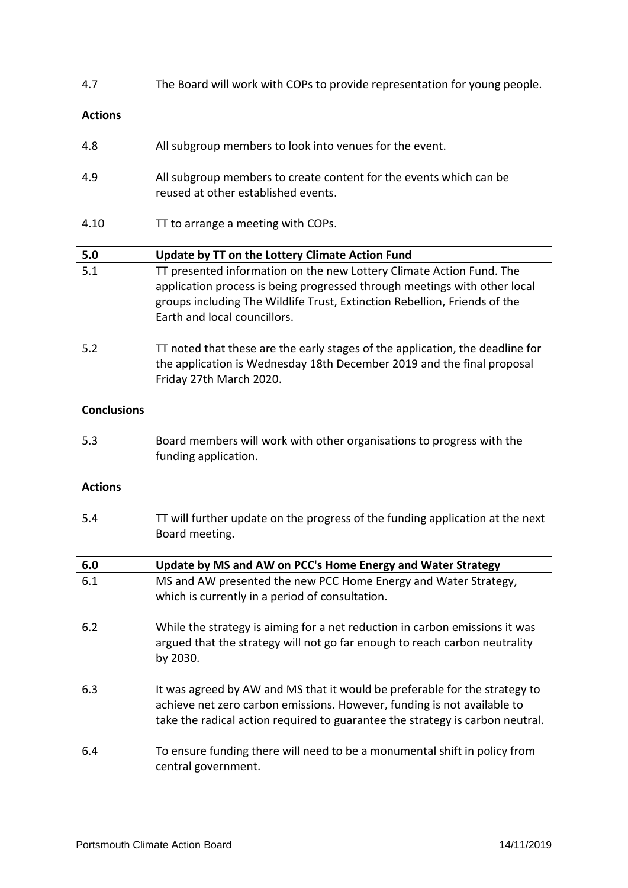| 4.7                | The Board will work with COPs to provide representation for young people.                                                                                                                                                                                      |
|--------------------|----------------------------------------------------------------------------------------------------------------------------------------------------------------------------------------------------------------------------------------------------------------|
| <b>Actions</b>     |                                                                                                                                                                                                                                                                |
| 4.8                | All subgroup members to look into venues for the event.                                                                                                                                                                                                        |
| 4.9                | All subgroup members to create content for the events which can be<br>reused at other established events.                                                                                                                                                      |
| 4.10               | TT to arrange a meeting with COPs.                                                                                                                                                                                                                             |
| 5.0                | Update by TT on the Lottery Climate Action Fund                                                                                                                                                                                                                |
| 5.1                | TT presented information on the new Lottery Climate Action Fund. The<br>application process is being progressed through meetings with other local<br>groups including The Wildlife Trust, Extinction Rebellion, Friends of the<br>Earth and local councillors. |
| 5.2                | TT noted that these are the early stages of the application, the deadline for<br>the application is Wednesday 18th December 2019 and the final proposal<br>Friday 27th March 2020.                                                                             |
| <b>Conclusions</b> |                                                                                                                                                                                                                                                                |
| 5.3                | Board members will work with other organisations to progress with the<br>funding application.                                                                                                                                                                  |
| <b>Actions</b>     |                                                                                                                                                                                                                                                                |
| 5.4                | TT will further update on the progress of the funding application at the next<br>Board meeting.                                                                                                                                                                |
| 6.0                | Update by MS and AW on PCC's Home Energy and Water Strategy                                                                                                                                                                                                    |
| 6.1                | MS and AW presented the new PCC Home Energy and Water Strategy,<br>which is currently in a period of consultation.                                                                                                                                             |
| 6.2                | While the strategy is aiming for a net reduction in carbon emissions it was<br>argued that the strategy will not go far enough to reach carbon neutrality<br>by 2030.                                                                                          |
| 6.3                | It was agreed by AW and MS that it would be preferable for the strategy to<br>achieve net zero carbon emissions. However, funding is not available to<br>take the radical action required to guarantee the strategy is carbon neutral.                         |
| 6.4                | To ensure funding there will need to be a monumental shift in policy from<br>central government.                                                                                                                                                               |